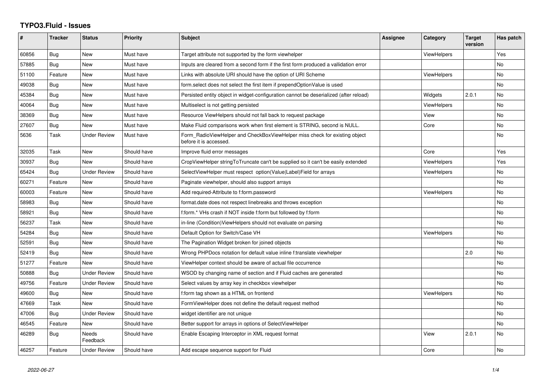## **TYPO3.Fluid - Issues**

| #     | <b>Tracker</b> | <b>Status</b>       | <b>Priority</b> | <b>Subject</b>                                                                                       | Assignee | Category           | <b>Target</b><br>version | Has patch |
|-------|----------------|---------------------|-----------------|------------------------------------------------------------------------------------------------------|----------|--------------------|--------------------------|-----------|
| 60856 | Bug            | <b>New</b>          | Must have       | Target attribute not supported by the form viewhelper                                                |          | <b>ViewHelpers</b> |                          | Yes       |
| 57885 | <b>Bug</b>     | New                 | Must have       | Inputs are cleared from a second form if the first form produced a vallidation error                 |          |                    |                          | <b>No</b> |
| 51100 | Feature        | <b>New</b>          | Must have       | Links with absolute URI should have the option of URI Scheme                                         |          | <b>ViewHelpers</b> |                          | <b>No</b> |
| 49038 | Bug            | New                 | Must have       | form.select does not select the first item if prependOptionValue is used                             |          |                    |                          | <b>No</b> |
| 45384 | Bug            | New                 | Must have       | Persisted entity object in widget-configuration cannot be deserialized (after reload)                |          | Widgets            | 2.0.1                    | No.       |
| 40064 | Bug            | New                 | Must have       | Multiselect is not getting persisted                                                                 |          | <b>ViewHelpers</b> |                          | No        |
| 38369 | <b>Bug</b>     | New                 | Must have       | Resource ViewHelpers should not fall back to request package                                         |          | View               |                          | No        |
| 27607 | Bug            | New                 | Must have       | Make Fluid comparisons work when first element is STRING, second is NULL.                            |          | Core               |                          | No        |
| 5636  | Task           | <b>Under Review</b> | Must have       | Form RadioViewHelper and CheckBoxViewHelper miss check for existing object<br>before it is accessed. |          |                    |                          | <b>No</b> |
| 32035 | Task           | New                 | Should have     | Improve fluid error messages                                                                         |          | Core               |                          | Yes       |
| 30937 | <b>Bug</b>     | <b>New</b>          | Should have     | CropViewHelper stringToTruncate can't be supplied so it can't be easily extended                     |          | <b>ViewHelpers</b> |                          | Yes       |
| 65424 | Bug            | Under Review        | Should have     | SelectViewHelper must respect option(Value Label)Field for arrays                                    |          | ViewHelpers        |                          | No        |
| 60271 | Feature        | <b>New</b>          | Should have     | Paginate viewhelper, should also support arrays                                                      |          |                    |                          | <b>No</b> |
| 60003 | Feature        | New                 | Should have     | Add required-Attribute to f:form.password                                                            |          | <b>ViewHelpers</b> |                          | <b>No</b> |
| 58983 | Bug            | New                 | Should have     | format.date does not respect linebreaks and throws exception                                         |          |                    |                          | No        |
| 58921 | Bug            | New                 | Should have     | f:form.* VHs crash if NOT inside f:form but followed by f:form                                       |          |                    |                          | <b>No</b> |
| 56237 | Task           | New                 | Should have     | in-line (Condition) View Helpers should not evaluate on parsing                                      |          |                    |                          | <b>No</b> |
| 54284 | Bug            | <b>New</b>          | Should have     | Default Option for Switch/Case VH                                                                    |          | <b>ViewHelpers</b> |                          | No        |
| 52591 | Bug            | New                 | Should have     | The Pagination Widget broken for joined objects                                                      |          |                    |                          | No        |
| 52419 | Bug            | <b>New</b>          | Should have     | Wrong PHPDocs notation for default value inline f:translate viewhelper                               |          |                    | 2.0                      | <b>No</b> |
| 51277 | Feature        | <b>New</b>          | Should have     | ViewHelper context should be aware of actual file occurrence                                         |          |                    |                          | No        |
| 50888 | <b>Bug</b>     | <b>Under Review</b> | Should have     | WSOD by changing name of section and if Fluid caches are generated                                   |          |                    |                          | No        |
| 49756 | Feature        | <b>Under Review</b> | Should have     | Select values by array key in checkbox viewhelper                                                    |          |                    |                          | <b>No</b> |
| 49600 | Bug            | New                 | Should have     | f:form tag shown as a HTML on frontend                                                               |          | ViewHelpers        |                          | No        |
| 47669 | Task           | <b>New</b>          | Should have     | FormViewHelper does not define the default request method                                            |          |                    |                          | No        |
| 47006 | Bug            | Under Review        | Should have     | widget identifier are not unique                                                                     |          |                    |                          | No.       |
| 46545 | Feature        | <b>New</b>          | Should have     | Better support for arrays in options of SelectViewHelper                                             |          |                    |                          | <b>No</b> |
| 46289 | Bug            | Needs<br>Feedback   | Should have     | Enable Escaping Interceptor in XML request format                                                    |          | View               | 2.0.1                    | <b>No</b> |
| 46257 | Feature        | <b>Under Review</b> | Should have     | Add escape sequence support for Fluid                                                                |          | Core               |                          | No        |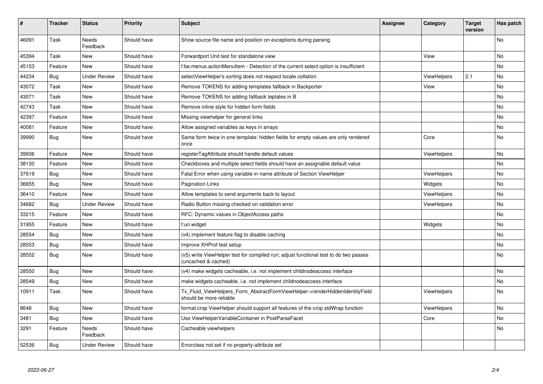| #     | <b>Tracker</b> | <b>Status</b>       | <b>Priority</b> | Subject                                                                                                     | Assignee | Category           | <b>Target</b><br>version | Has patch |
|-------|----------------|---------------------|-----------------|-------------------------------------------------------------------------------------------------------------|----------|--------------------|--------------------------|-----------|
| 46091 | Task           | Needs<br>Feedback   | Should have     | Show source file name and position on exceptions during parsing                                             |          |                    |                          | <b>No</b> |
| 45394 | Task           | New                 | Should have     | Forwardport Unit test for standalone view                                                                   |          | View               |                          | <b>No</b> |
| 45153 | Feature        | New                 | Should have     | f:be.menus.actionMenuItem - Detection of the current select option is insufficient                          |          |                    |                          | <b>No</b> |
| 44234 | Bug            | <b>Under Review</b> | Should have     | selectViewHelper's sorting does not respect locale collation                                                |          | <b>ViewHelpers</b> | 2.1                      | No        |
| 43072 | Task           | <b>New</b>          | Should have     | Remove TOKENS for adding templates fallback in Backporter                                                   |          | View               |                          | No        |
| 43071 | Task           | <b>New</b>          | Should have     | Remove TOKENS for adding fallback teplates in B                                                             |          |                    |                          | No        |
| 42743 | Task           | <b>New</b>          | Should have     | Remove inline style for hidden form fields                                                                  |          |                    |                          | <b>No</b> |
| 42397 | Feature        | <b>New</b>          | Should have     | Missing viewhelper for general links                                                                        |          |                    |                          | No        |
| 40081 | Feature        | <b>New</b>          | Should have     | Allow assigned variables as keys in arrays                                                                  |          |                    |                          | <b>No</b> |
| 39990 | <b>Bug</b>     | <b>New</b>          | Should have     | Same form twice in one template: hidden fields for empty values are only rendered<br>once                   |          | Core               |                          | No        |
| 39936 | Feature        | New                 | Should have     | registerTagAttribute should handle default values                                                           |          | <b>ViewHelpers</b> |                          | No        |
| 38130 | Feature        | <b>New</b>          | Should have     | Checkboxes and multiple select fields should have an assignable default value                               |          |                    |                          | <b>No</b> |
| 37619 | Bug            | New                 | Should have     | Fatal Error when using variable in name attribute of Section ViewHelper                                     |          | <b>ViewHelpers</b> |                          | <b>No</b> |
| 36655 | Bug            | New                 | Should have     | <b>Pagination Links</b>                                                                                     |          | Widgets            |                          | No        |
| 36410 | Feature        | <b>New</b>          | Should have     | Allow templates to send arguments back to layout                                                            |          | <b>ViewHelpers</b> |                          | <b>No</b> |
| 34682 | <b>Bug</b>     | <b>Under Review</b> | Should have     | Radio Button missing checked on validation error                                                            |          | ViewHelpers        |                          | No        |
| 33215 | Feature        | New                 | Should have     | RFC: Dynamic values in ObjectAccess paths                                                                   |          |                    |                          | No        |
| 31955 | Feature        | New                 | Should have     | f:uri.widget                                                                                                |          | Widgets            |                          | No        |
| 28554 | <b>Bug</b>     | New                 | Should have     | (v4) implement feature flag to disable caching                                                              |          |                    |                          | No        |
| 28553 | Bug            | <b>New</b>          | Should have     | improve XHProf test setup                                                                                   |          |                    |                          | <b>No</b> |
| 28552 | Bug            | New                 | Should have     | (v5) write ViewHelper test for compiled run; adjust functional test to do two passes<br>(uncached & cached) |          |                    |                          | No        |
| 28550 | Bug            | <b>New</b>          | Should have     | (v4) make widgets cacheable, i.e. not implement childnodeaccess interface                                   |          |                    |                          | <b>No</b> |
| 28549 | <b>Bug</b>     | New                 | Should have     | make widgets cacheable, i.e. not implement childnodeaccess interface                                        |          |                    |                          | No        |
| 10911 | Task           | <b>New</b>          | Should have     | Tx Fluid ViewHelpers Form AbstractFormViewHelper->renderHiddenIdentityField<br>should be more reliable      |          | ViewHelpers        |                          | <b>No</b> |
| 8648  | <b>Bug</b>     | New                 | Should have     | format.crop ViewHelper should support all features of the crop stdWrap function                             |          | ViewHelpers        |                          | No        |
| 3481  | Bug            | New                 | Should have     | Use ViewHelperVariableContainer in PostParseFacet                                                           |          | Core               |                          | <b>No</b> |
| 3291  | Feature        | Needs<br>Feedback   | Should have     | Cacheable viewhelpers                                                                                       |          |                    |                          | No        |
| 52536 | <b>Bug</b>     | Under Review        | Should have     | Errorclass not set if no property-attribute set                                                             |          |                    |                          |           |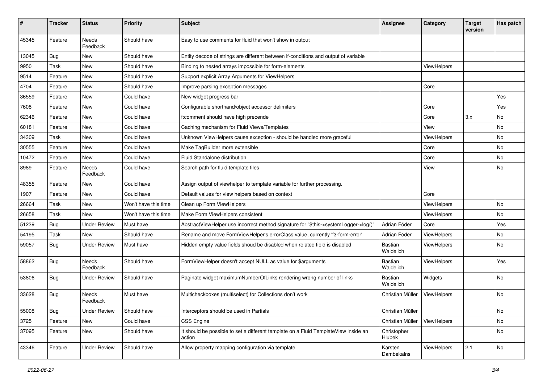| ∦     | <b>Tracker</b> | <b>Status</b>            | <b>Priority</b>      | Subject                                                                                       | Assignee                    | Category    | <b>Target</b><br>version | Has patch |
|-------|----------------|--------------------------|----------------------|-----------------------------------------------------------------------------------------------|-----------------------------|-------------|--------------------------|-----------|
| 45345 | Feature        | <b>Needs</b><br>Feedback | Should have          | Easy to use comments for fluid that won't show in output                                      |                             |             |                          |           |
| 13045 | Bug            | New                      | Should have          | Entity decode of strings are different between if-conditions and output of variable           |                             |             |                          |           |
| 9950  | Task           | New                      | Should have          | Binding to nested arrays impossible for form-elements                                         |                             | ViewHelpers |                          |           |
| 9514  | Feature        | New                      | Should have          | Support explicit Array Arguments for ViewHelpers                                              |                             |             |                          |           |
| 4704  | Feature        | <b>New</b>               | Should have          | Improve parsing exception messages                                                            |                             | Core        |                          |           |
| 36559 | Feature        | New                      | Could have           | New widget progress bar                                                                       |                             |             |                          | Yes       |
| 7608  | Feature        | New                      | Could have           | Configurable shorthand/object accessor delimiters                                             |                             | Core        |                          | Yes       |
| 62346 | Feature        | <b>New</b>               | Could have           | f:comment should have high precende                                                           |                             | Core        | 3.x                      | No        |
| 60181 | Feature        | New                      | Could have           | Caching mechanism for Fluid Views/Templates                                                   |                             | View        |                          | <b>No</b> |
| 34309 | Task           | New                      | Could have           | Unknown ViewHelpers cause exception - should be handled more graceful                         |                             | ViewHelpers |                          | <b>No</b> |
| 30555 | Feature        | New                      | Could have           | Make TagBuilder more extensible                                                               |                             | Core        |                          | No        |
| 10472 | Feature        | New                      | Could have           | Fluid Standalone distribution                                                                 |                             | Core        |                          | <b>No</b> |
| 8989  | Feature        | <b>Needs</b><br>Feedback | Could have           | Search path for fluid template files                                                          |                             | View        |                          | No        |
| 48355 | Feature        | New                      | Could have           | Assign output of viewhelper to template variable for further processing.                      |                             |             |                          |           |
| 1907  | Feature        | New                      | Could have           | Default values for view helpers based on context                                              |                             | Core        |                          |           |
| 26664 | Task           | New                      | Won't have this time | Clean up Form ViewHelpers                                                                     |                             | ViewHelpers |                          | No        |
| 26658 | Task           | New                      | Won't have this time | Make Form ViewHelpers consistent                                                              |                             | ViewHelpers |                          | <b>No</b> |
| 51239 | <b>Bug</b>     | <b>Under Review</b>      | Must have            | AbstractViewHelper use incorrect method signature for "\$this->systemLogger->log()"           | Adrian Föder                | Core        |                          | Yes       |
| 54195 | Task           | New                      | Should have          | Rename and move FormViewHelper's errorClass value, currently 'f3-form-error'                  | Adrian Föder                | ViewHelpers |                          | <b>No</b> |
| 59057 | Bug            | <b>Under Review</b>      | Must have            | Hidden empty value fields shoud be disabled when related field is disabled                    | Bastian<br>Waidelich        | ViewHelpers |                          | No        |
| 58862 | <b>Bug</b>     | Needs<br>Feedback        | Should have          | FormViewHelper doesn't accept NULL as value for \$arguments                                   | <b>Bastian</b><br>Waidelich | ViewHelpers |                          | Yes       |
| 53806 | Bug            | <b>Under Review</b>      | Should have          | Paginate widget maximumNumberOfLinks rendering wrong number of links                          | Bastian<br>Waidelich        | Widgets     |                          | No.       |
| 33628 | Bug            | Needs<br>Feedback        | Must have            | Multicheckboxes (multiselect) for Collections don't work                                      | Christian Müller            | ViewHelpers |                          | No        |
| 55008 | <b>Bug</b>     | <b>Under Review</b>      | Should have          | Interceptors should be used in Partials                                                       | Christian Müller            |             |                          | No        |
| 3725  | Feature        | <b>New</b>               | Could have           | CSS Engine                                                                                    | Christian Müller            | ViewHelpers |                          | No        |
| 37095 | Feature        | New                      | Should have          | It should be possible to set a different template on a Fluid TemplateView inside an<br>action | Christopher<br>Hlubek       |             |                          | No        |
| 43346 | Feature        | <b>Under Review</b>      | Should have          | Allow property mapping configuration via template                                             | Karsten<br>Dambekalns       | ViewHelpers | 2.1                      | No        |